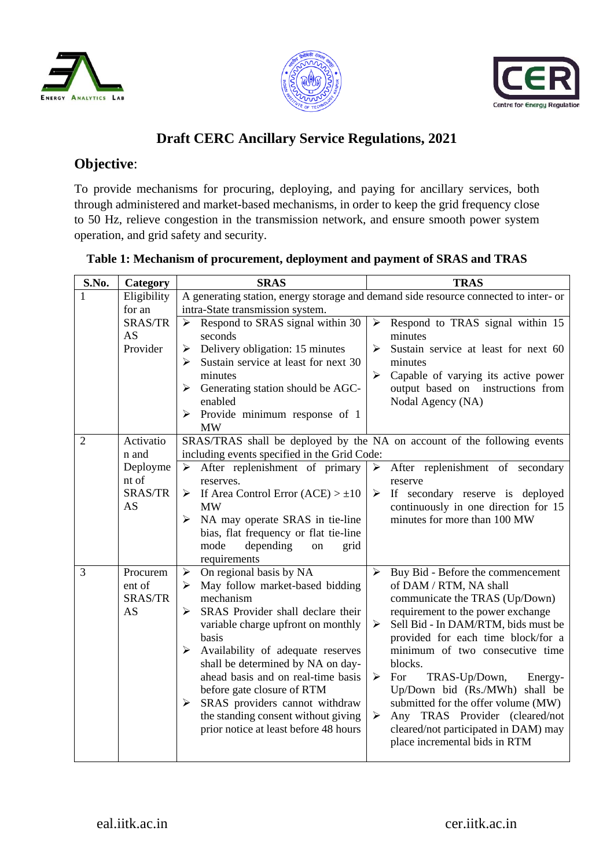





# **Draft CERC Ancillary Service Regulations, 2021**

# **Objective**:

To provide mechanisms for procuring, deploying, and paying for ancillary services, both through administered and market-based mechanisms, in order to keep the grid frequency close to 50 Hz, relieve congestion in the transmission network, and ensure smooth power system operation, and grid safety and security.

| S.No.          | Category                                                 | <b>SRAS</b>                                                                                                                                                                                                                                                                                                                                                                                                                                                                                  | <b>TRAS</b>                                                                                                                                                                                                                                                                                                                                                                                                                                                                                                                                                          |  |  |  |  |  |
|----------------|----------------------------------------------------------|----------------------------------------------------------------------------------------------------------------------------------------------------------------------------------------------------------------------------------------------------------------------------------------------------------------------------------------------------------------------------------------------------------------------------------------------------------------------------------------------|----------------------------------------------------------------------------------------------------------------------------------------------------------------------------------------------------------------------------------------------------------------------------------------------------------------------------------------------------------------------------------------------------------------------------------------------------------------------------------------------------------------------------------------------------------------------|--|--|--|--|--|
| 1              | Eligibility<br>for an                                    | intra-State transmission system.                                                                                                                                                                                                                                                                                                                                                                                                                                                             | A generating station, energy storage and demand side resource connected to inter- or                                                                                                                                                                                                                                                                                                                                                                                                                                                                                 |  |  |  |  |  |
|                | <b>SRAS/TR</b><br>AS<br>Provider                         | Respond to SRAS signal within 30<br>➤<br>seconds<br>Delivery obligation: 15 minutes<br>➤<br>Sustain service at least for next 30<br>➤<br>minutes<br>Generating station should be AGC-<br>➤<br>enabled<br>Provide minimum response of 1<br>➤<br>MW                                                                                                                                                                                                                                            | Respond to TRAS signal within 15<br>$\blacktriangleright$<br>minutes<br>$\blacktriangleright$<br>Sustain service at least for next 60<br>minutes<br>$\blacktriangleright$<br>Capable of varying its active power<br>output based on instructions from<br>Nodal Agency (NA)                                                                                                                                                                                                                                                                                           |  |  |  |  |  |
| $\overline{2}$ | Activatio<br>n and<br>Deployme<br>nt of<br>SRAS/TR<br>AS | including events specified in the Grid Code:<br>After replenishment of primary<br>➤<br>reserves.<br>Figure 1 Separate 1 Separate 10 Separate 10<br><b>MW</b><br>> NA may operate SRAS in tie-line<br>bias, flat frequency or flat tie-line<br>mode<br>depending<br>grid<br>on<br>requirements                                                                                                                                                                                                | SRAS/TRAS shall be deployed by the NA on account of the following events<br>After replenishment of secondary<br>➤<br>reserve<br>If secondary reserve is deployed<br>$\blacktriangleright$<br>continuously in one direction for 15<br>minutes for more than 100 MW                                                                                                                                                                                                                                                                                                    |  |  |  |  |  |
| 3              | Procurem<br>ent of<br>SRAS/TR<br>AS                      | On regional basis by NA<br>$\blacktriangleright$<br>May follow market-based bidding<br>$\blacktriangleright$<br>mechanism<br>SRAS Provider shall declare their<br>➤<br>variable charge upfront on monthly<br>basis<br>Availability of adequate reserves<br>➤<br>shall be determined by NA on day-<br>ahead basis and on real-time basis<br>before gate closure of RTM<br>SRAS providers cannot withdraw<br>➤<br>the standing consent without giving<br>prior notice at least before 48 hours | Buy Bid - Before the commencement<br>$\blacktriangleright$<br>of DAM / RTM, NA shall<br>communicate the TRAS (Up/Down)<br>requirement to the power exchange<br>Sell Bid - In DAM/RTM, bids must be<br>➤<br>provided for each time block/for a<br>minimum of two consecutive time<br>blocks.<br>For<br>TRAS-Up/Down,<br>$\blacktriangleright$<br>Energy-<br>Up/Down bid (Rs./MWh) shall be<br>submitted for the offer volume (MW)<br>Any TRAS Provider (cleared/not<br>$\blacktriangleright$<br>cleared/not participated in DAM) may<br>place incremental bids in RTM |  |  |  |  |  |

### **Table 1: Mechanism of procurement, deployment and payment of SRAS and TRAS**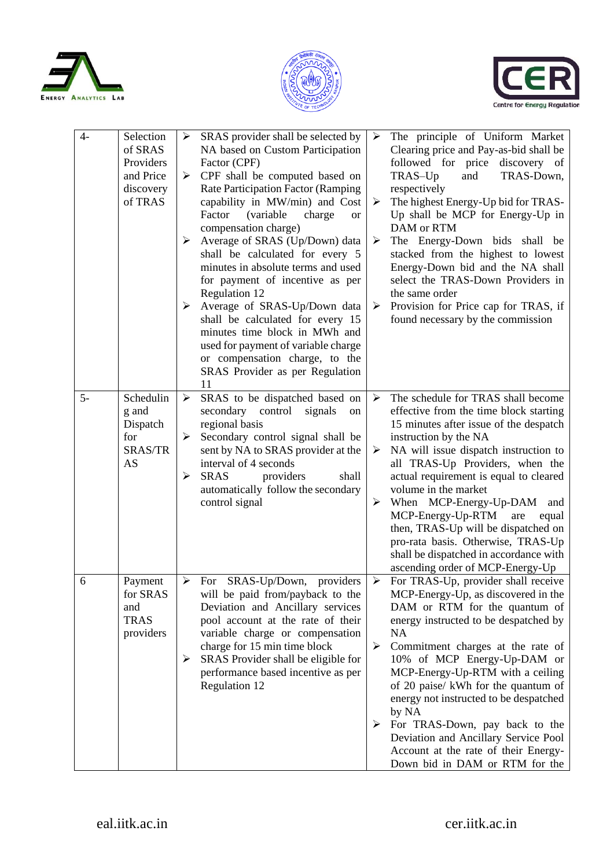





| $4-$ | Selection<br>of SRAS<br>Providers<br>and Price<br>discovery<br>of TRAS | $\blacktriangleright$<br>➤<br>➤<br>➤ | SRAS provider shall be selected by<br>NA based on Custom Participation<br>Factor (CPF)<br>CPF shall be computed based on<br>Rate Participation Factor (Ramping<br>capability in MW/min) and Cost<br>Factor<br>(variable<br>charge<br><b>or</b><br>compensation charge)<br>Average of SRAS (Up/Down) data<br>shall be calculated for every 5<br>minutes in absolute terms and used<br>for payment of incentive as per<br>Regulation 12<br>Average of SRAS-Up/Down data<br>shall be calculated for every 15<br>minutes time block in MWh and<br>used for payment of variable charge<br>or compensation charge, to the<br>SRAS Provider as per Regulation<br>11 | $\blacktriangleright$<br>➤<br>$\blacktriangleright$<br>➤ | The principle of Uniform Market<br>Clearing price and Pay-as-bid shall be<br>followed for price discovery of<br>TRAS-Down,<br>TRAS-Up<br>and<br>respectively<br>The highest Energy-Up bid for TRAS-<br>Up shall be MCP for Energy-Up in<br>DAM or RTM<br>The Energy-Down bids shall be<br>stacked from the highest to lowest<br>Energy-Down bid and the NA shall<br>select the TRAS-Down Providers in<br>the same order<br>Provision for Price cap for TRAS, if<br>found necessary by the commission                        |
|------|------------------------------------------------------------------------|--------------------------------------|--------------------------------------------------------------------------------------------------------------------------------------------------------------------------------------------------------------------------------------------------------------------------------------------------------------------------------------------------------------------------------------------------------------------------------------------------------------------------------------------------------------------------------------------------------------------------------------------------------------------------------------------------------------|----------------------------------------------------------|-----------------------------------------------------------------------------------------------------------------------------------------------------------------------------------------------------------------------------------------------------------------------------------------------------------------------------------------------------------------------------------------------------------------------------------------------------------------------------------------------------------------------------|
| $5-$ | Schedulin<br>g and<br>Dispatch<br>for<br><b>SRAS/TR</b><br>AS          | $\blacktriangleright$<br>➤<br>➤      | SRAS to be dispatched based on<br>secondary<br>control<br>signals<br>on<br>regional basis<br>Secondary control signal shall be<br>sent by NA to SRAS provider at the<br>interval of 4 seconds<br><b>SRAS</b><br>providers<br>shall<br>automatically follow the secondary<br>control signal                                                                                                                                                                                                                                                                                                                                                                   | ➤<br>➤<br>➤                                              | The schedule for TRAS shall become<br>effective from the time block starting<br>15 minutes after issue of the despatch<br>instruction by the NA<br>NA will issue dispatch instruction to<br>all TRAS-Up Providers, when the<br>actual requirement is equal to cleared<br>volume in the market<br>When MCP-Energy-Up-DAM and<br>MCP-Energy-Up-RTM<br>are<br>equal<br>then, TRAS-Up will be dispatched on<br>pro-rata basis. Otherwise, TRAS-Up<br>shall be dispatched in accordance with<br>ascending order of MCP-Energy-Up |
| 6    | Payment<br>for SRAS<br>and<br><b>TRAS</b><br>providers                 | $\blacktriangleright$<br>➤           | For SRAS-Up/Down,<br>providers<br>will be paid from/payback to the<br>Deviation and Ancillary services<br>pool account at the rate of their<br>variable charge or compensation<br>charge for 15 min time block<br>SRAS Provider shall be eligible for<br>performance based incentive as per<br>Regulation 12                                                                                                                                                                                                                                                                                                                                                 | $\blacktriangleright$<br>➤<br>➤                          | For TRAS-Up, provider shall receive<br>MCP-Energy-Up, as discovered in the<br>DAM or RTM for the quantum of<br>energy instructed to be despatched by<br><b>NA</b><br>Commitment charges at the rate of<br>10% of MCP Energy-Up-DAM or<br>MCP-Energy-Up-RTM with a ceiling<br>of 20 paise/ kWh for the quantum of<br>energy not instructed to be despatched<br>by NA<br>For TRAS-Down, pay back to the<br>Deviation and Ancillary Service Pool<br>Account at the rate of their Energy-<br>Down bid in DAM or RTM for the     |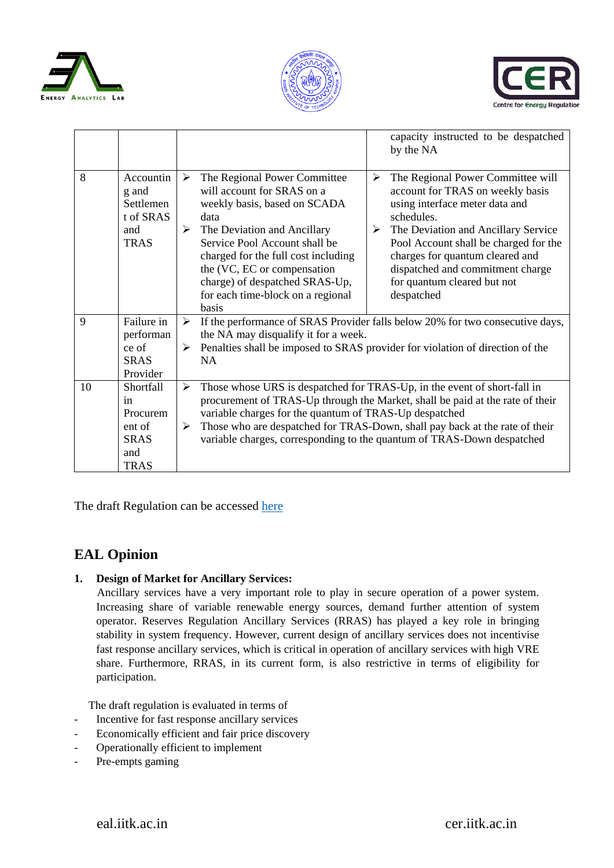





|    |                                                                            | capacity instructed to be despatched<br>by the NA                                                                                                                                                                                                                                                                                                                                                                                                                                                                                                                                                                                                                         |
|----|----------------------------------------------------------------------------|---------------------------------------------------------------------------------------------------------------------------------------------------------------------------------------------------------------------------------------------------------------------------------------------------------------------------------------------------------------------------------------------------------------------------------------------------------------------------------------------------------------------------------------------------------------------------------------------------------------------------------------------------------------------------|
| 8  | Accountin<br>g and<br>Settlemen<br>t of SRAS<br>and<br><b>TRAS</b>         | The Regional Power Committee will<br>The Regional Power Committee<br>≻<br>➤<br>will account for SRAS on a<br>account for TRAS on weekly basis<br>using interface meter data and<br>weekly basis, based on SCADA<br>schedules.<br>data<br>The Deviation and Ancillary<br>The Deviation and Ancillary Service<br>➤<br>➤<br>Service Pool Account shall be<br>Pool Account shall be charged for the<br>charges for quantum cleared and<br>charged for the full cost including<br>the (VC, EC or compensation<br>dispatched and commitment charge<br>for quantum cleared but not<br>charge) of despatched SRAS-Up,<br>for each time-block on a regional<br>despatched<br>basis |
| 9  | Failure in                                                                 | If the performance of SRAS Provider falls below 20% for two consecutive days,<br>➤                                                                                                                                                                                                                                                                                                                                                                                                                                                                                                                                                                                        |
|    | performan<br>ce of                                                         | the NA may disqualify it for a week.<br>Penalties shall be imposed to SRAS provider for violation of direction of the<br>➤                                                                                                                                                                                                                                                                                                                                                                                                                                                                                                                                                |
|    | <b>SRAS</b>                                                                | NA                                                                                                                                                                                                                                                                                                                                                                                                                                                                                                                                                                                                                                                                        |
|    | Provider                                                                   |                                                                                                                                                                                                                                                                                                                                                                                                                                                                                                                                                                                                                                                                           |
| 10 | Shortfall<br>in<br>Procurem<br>ent of<br><b>SRAS</b><br>and<br><b>TRAS</b> | Those whose URS is despatched for TRAS-Up, in the event of short-fall in<br>➤<br>procurement of TRAS-Up through the Market, shall be paid at the rate of their<br>variable charges for the quantum of TRAS-Up despatched<br>Those who are despatched for TRAS-Down, shall pay back at the rate of their<br>➤<br>variable charges, corresponding to the quantum of TRAS-Down despatched                                                                                                                                                                                                                                                                                    |

The draft Regulation can be accessed [here](https://cer.iitk.ac.in/odf_assets/upload_files/blog/Draft_Ancillary_Services_Regulations.pdf)

# **EAL Opinion**

**1. Design of Market for Ancillary Services:** 

 Ancillary services have a very important role to play in secure operation of a power system. Increasing share of variable renewable energy sources, demand further attention of system operator. Reserves Regulation Ancillary Services (RRAS) has played a key role in bringing stability in system frequency. However, current design of ancillary services does not incentivise fast response ancillary services, which is critical in operation of ancillary services with high VRE share. Furthermore, RRAS, in its current form, is also restrictive in terms of eligibility for participation.

The draft regulation is evaluated in terms of

- Incentive for fast response ancillary services
- Economically efficient and fair price discovery
- Operationally efficient to implement
- Pre-empts gaming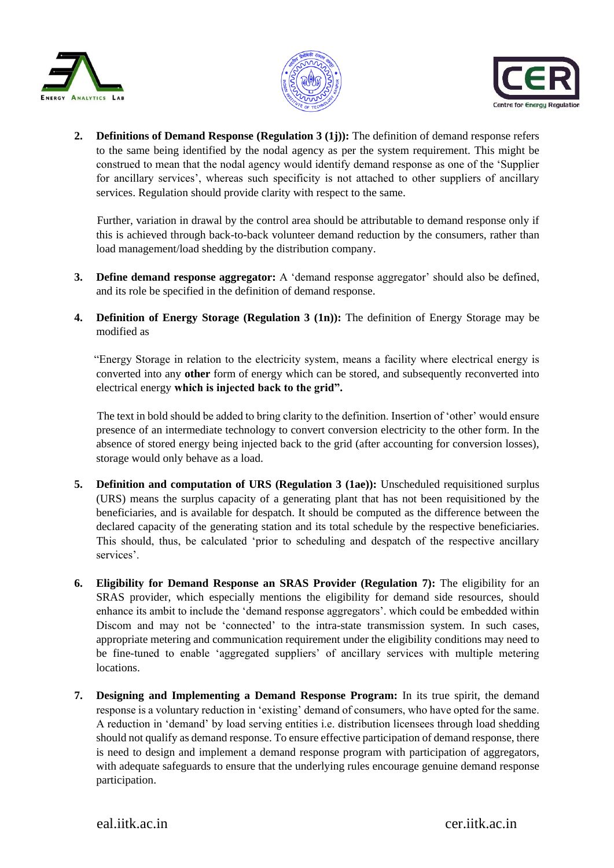





**2. Definitions of Demand Response (Regulation 3 (1j)):** The definition of demand response refers to the same being identified by the nodal agency as per the system requirement. This might be construed to mean that the nodal agency would identify demand response as one of the 'Supplier for ancillary services', whereas such specificity is not attached to other suppliers of ancillary services. Regulation should provide clarity with respect to the same.

 Further, variation in drawal by the control area should be attributable to demand response only if this is achieved through back-to-back volunteer demand reduction by the consumers, rather than load management/load shedding by the distribution company.

- **3. Define demand response aggregator:** A 'demand response aggregator' should also be defined, and its role be specified in the definition of demand response.
- **4. Definition of Energy Storage (Regulation 3 (1n)):** The definition of Energy Storage may be modified as

 "Energy Storage in relation to the electricity system, means a facility where electrical energy is converted into any **other** form of energy which can be stored, and subsequently reconverted into electrical energy **which is injected back to the grid".** 

 The text in bold should be added to bring clarity to the definition. Insertion of 'other' would ensure presence of an intermediate technology to convert conversion electricity to the other form. In the absence of stored energy being injected back to the grid (after accounting for conversion losses), storage would only behave as a load.

- **5. Definition and computation of URS (Regulation 3 (1ae)):** Unscheduled requisitioned surplus (URS) means the surplus capacity of a generating plant that has not been requisitioned by the beneficiaries, and is available for despatch. It should be computed as the difference between the declared capacity of the generating station and its total schedule by the respective beneficiaries. This should, thus, be calculated 'prior to scheduling and despatch of the respective ancillary services'.
- **6. Eligibility for Demand Response an SRAS Provider (Regulation 7):** The eligibility for an SRAS provider, which especially mentions the eligibility for demand side resources, should enhance its ambit to include the 'demand response aggregators'. which could be embedded within Discom and may not be 'connected' to the intra-state transmission system. In such cases, appropriate metering and communication requirement under the eligibility conditions may need to be fine-tuned to enable 'aggregated suppliers' of ancillary services with multiple metering locations.
- **7. Designing and Implementing a Demand Response Program:** In its true spirit, the demand response is a voluntary reduction in 'existing' demand of consumers, who have opted for the same. A reduction in 'demand' by load serving entities i.e. distribution licensees through load shedding should not qualify as demand response. To ensure effective participation of demand response, there is need to design and implement a demand response program with participation of aggregators, with adequate safeguards to ensure that the underlying rules encourage genuine demand response participation.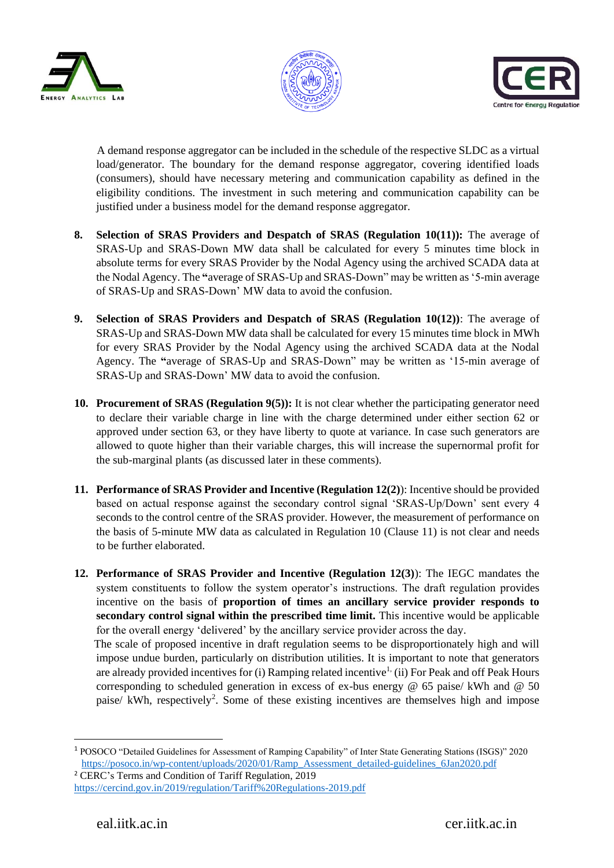





 A demand response aggregator can be included in the schedule of the respective SLDC as a virtual load/generator. The boundary for the demand response aggregator, covering identified loads (consumers), should have necessary metering and communication capability as defined in the eligibility conditions. The investment in such metering and communication capability can be justified under a business model for the demand response aggregator.

- **8. Selection of SRAS Providers and Despatch of SRAS (Regulation 10(11)):** The average of SRAS-Up and SRAS-Down MW data shall be calculated for every 5 minutes time block in absolute terms for every SRAS Provider by the Nodal Agency using the archived SCADA data at the Nodal Agency. The **"**average of SRAS-Up and SRAS-Down" may be written as '5-min average of SRAS-Up and SRAS-Down' MW data to avoid the confusion.
- **9. Selection of SRAS Providers and Despatch of SRAS (Regulation 10(12))**: The average of SRAS-Up and SRAS-Down MW data shall be calculated for every 15 minutes time block in MWh for every SRAS Provider by the Nodal Agency using the archived SCADA data at the Nodal Agency. The **"**average of SRAS-Up and SRAS-Down" may be written as '15-min average of SRAS-Up and SRAS-Down' MW data to avoid the confusion.
- **10. Procurement of SRAS (Regulation 9(5)):** It is not clear whether the participating generator need to declare their variable charge in line with the charge determined under either section 62 or approved under section 63, or they have liberty to quote at variance. In case such generators are allowed to quote higher than their variable charges, this will increase the supernormal profit for the sub-marginal plants (as discussed later in these comments).
- **11. Performance of SRAS Provider and Incentive (Regulation 12(2)**): Incentive should be provided based on actual response against the secondary control signal 'SRAS-Up/Down' sent every 4 seconds to the control centre of the SRAS provider. However, the measurement of performance on the basis of 5-minute MW data as calculated in Regulation 10 (Clause 11) is not clear and needs to be further elaborated.
- **12. Performance of SRAS Provider and Incentive (Regulation 12(3)**): The IEGC mandates the system constituents to follow the system operator's instructions. The draft regulation provides incentive on the basis of **proportion of times an ancillary service provider responds to secondary control signal within the prescribed time limit.** This incentive would be applicable for the overall energy 'delivered' by the ancillary service provider across the day.

 The scale of proposed incentive in draft regulation seems to be disproportionately high and will impose undue burden, particularly on distribution utilities. It is important to note that generators are already provided incentives for (i) Ramping related incentive<sup>1</sup> (ii) For Peak and off Peak Hours corresponding to scheduled generation in excess of ex-bus energy @ 65 paise/ kWh and @ 50 paise/ kWh, respectively<sup>2</sup>. Some of these existing incentives are themselves high and impose

**.** 

<sup>1</sup> POSOCO "Detailed Guidelines for Assessment of Ramping Capability" of Inter State Generating Stations (ISGS)" 2020 [https://posoco.in/wp-content/uploads/2020/01/Ramp\\_Assessment\\_detailed-guidelines\\_6Jan2020.pdf](https://posoco.in/wp-content/uploads/2020/01/Ramp_Assessment_detailed-guidelines_6Jan2020.pdf)

<sup>2</sup> CERC's Terms and Condition of Tariff Regulation, 2019 <https://cercind.gov.in/2019/regulation/Tariff%20Regulations-2019.pdf>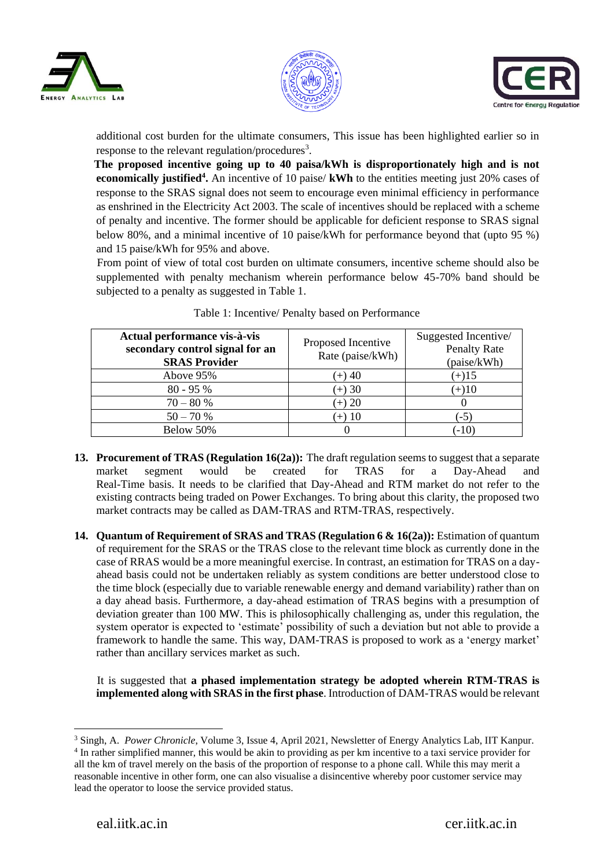





additional cost burden for the ultimate consumers, This issue has been highlighted earlier so in response to the relevant regulation/procedures<sup>3</sup>.

 **The proposed incentive going up to 40 paisa/kWh is disproportionately high and is not economically justified<sup>4</sup> .** An incentive of 10 paise/ **kWh** to the entities meeting just 20% cases of response to the SRAS signal does not seem to encourage even minimal efficiency in performance as enshrined in the Electricity Act 2003. The scale of incentives should be replaced with a scheme of penalty and incentive. The former should be applicable for deficient response to SRAS signal below 80%, and a minimal incentive of 10 paise/kWh for performance beyond that (upto 95 %) and 15 paise/kWh for 95% and above.

 From point of view of total cost burden on ultimate consumers, incentive scheme should also be supplemented with penalty mechanism wherein performance below 45-70% band should be subjected to a penalty as suggested in Table 1.

| Actual performance vis-à-vis<br>secondary control signal for an<br><b>SRAS Provider</b> | Proposed Incentive<br>Rate (paise/kWh) | Suggested Incentive/<br><b>Penalty Rate</b><br>(paise/kWh) |  |  |  |
|-----------------------------------------------------------------------------------------|----------------------------------------|------------------------------------------------------------|--|--|--|
| Above 95%                                                                               | (+) 40                                 | $(+)15$                                                    |  |  |  |
| $80 - 95%$                                                                              | $(+) 30$                               | $(+)10$                                                    |  |  |  |
| $70 - 80%$                                                                              | $(+) 20$                               |                                                            |  |  |  |
| $50 - 70%$                                                                              | (+) 10                                 | $(-5)$                                                     |  |  |  |
| Below 50%                                                                               |                                        | $(-10)$                                                    |  |  |  |

Table 1: Incentive/ Penalty based on Performance

- **13. Procurement of TRAS (Regulation 16(2a)):** The draft regulation seems to suggest that a separate market segment would be created for TRAS for a Day-Ahead and Real-Time basis. It needs to be clarified that Day-Ahead and RTM market do not refer to the existing contracts being traded on Power Exchanges. To bring about this clarity, the proposed two market contracts may be called as DAM-TRAS and RTM-TRAS, respectively.
- **14. Quantum of Requirement of SRAS and TRAS (Regulation 6 & 16(2a)):** Estimation of quantum of requirement for the SRAS or the TRAS close to the relevant time block as currently done in the case of RRAS would be a more meaningful exercise. In contrast, an estimation for TRAS on a dayahead basis could not be undertaken reliably as system conditions are better understood close to the time block (especially due to variable renewable energy and demand variability) rather than on a day ahead basis. Furthermore, a day-ahead estimation of TRAS begins with a presumption of deviation greater than 100 MW. This is philosophically challenging as, under this regulation, the system operator is expected to 'estimate' possibility of such a deviation but not able to provide a framework to handle the same. This way, DAM-TRAS is proposed to work as a 'energy market' rather than ancillary services market as such.

 It is suggested that **a phased implementation strategy be adopted wherein RTM-TRAS is implemented along with SRAS in the first phase**. Introduction of DAM-TRAS would be relevant

<sup>1</sup> <sup>3</sup> Singh, A. *Power Chronicle*, Volume 3, Issue 4, April 2021, Newsletter of Energy Analytics Lab, IIT Kanpur. <sup>4</sup> In rather simplified manner, this would be akin to providing as per km incentive to a taxi service provider for all the km of travel merely on the basis of the proportion of response to a phone call. While this may merit a reasonable incentive in other form, one can also visualise a disincentive whereby poor customer service may lead the operator to loose the service provided status.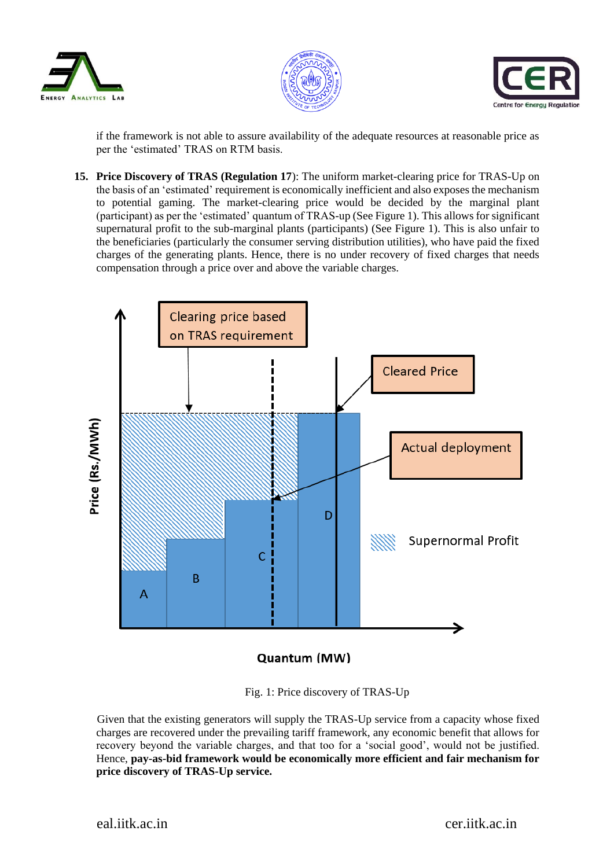





if the framework is not able to assure availability of the adequate resources at reasonable price as per the 'estimated' TRAS on RTM basis.

**15. Price Discovery of TRAS (Regulation 17**): The uniform market-clearing price for TRAS-Up on the basis of an 'estimated' requirement is economically inefficient and also exposes the mechanism to potential gaming. The market-clearing price would be decided by the marginal plant (participant) as per the 'estimated' quantum of TRAS-up (See Figure 1). This allows for significant supernatural profit to the sub-marginal plants (participants) (See Figure 1). This is also unfair to the beneficiaries (particularly the consumer serving distribution utilities), who have paid the fixed charges of the generating plants. Hence, there is no under recovery of fixed charges that needs compensation through a price over and above the variable charges.



Quantum (MW)

Fig. 1: Price discovery of TRAS-Up

 Given that the existing generators will supply the TRAS-Up service from a capacity whose fixed charges are recovered under the prevailing tariff framework, any economic benefit that allows for recovery beyond the variable charges, and that too for a 'social good', would not be justified. Hence, **pay-as-bid framework would be economically more efficient and fair mechanism for price discovery of TRAS-Up service.**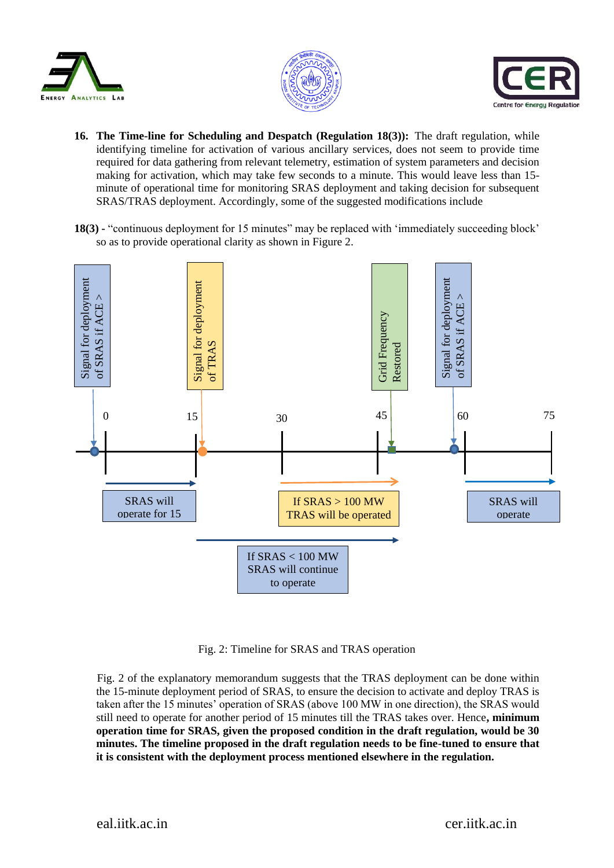





- **16. The Time-line for Scheduling and Despatch (Regulation 18(3)):** The draft regulation, while identifying timeline for activation of various ancillary services, does not seem to provide time required for data gathering from relevant telemetry, estimation of system parameters and decision making for activation, which may take few seconds to a minute. This would leave less than 15 minute of operational time for monitoring SRAS deployment and taking decision for subsequent SRAS/TRAS deployment. Accordingly, some of the suggested modifications include
- **18(3) -** "continuous deployment for 15 minutes" may be replaced with 'immediately succeeding block' so as to provide operational clarity as shown in Figure 2.



Fig. 2: Timeline for SRAS and TRAS operation

 Fig. 2 of the explanatory memorandum suggests that the TRAS deployment can be done within the 15-minute deployment period of SRAS, to ensure the decision to activate and deploy TRAS is taken after the 15 minutes' operation of SRAS (above 100 MW in one direction), the SRAS would still need to operate for another period of 15 minutes till the TRAS takes over. Hence**, minimum operation time for SRAS, given the proposed condition in the draft regulation, would be 30 minutes. The timeline proposed in the draft regulation needs to be fine-tuned to ensure that it is consistent with the deployment process mentioned elsewhere in the regulation.**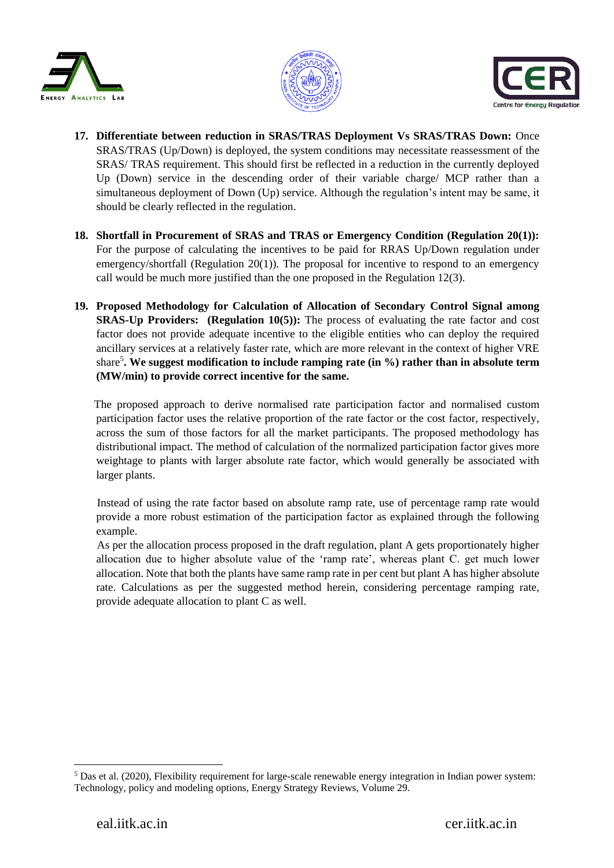





- **17. Differentiate between reduction in SRAS/TRAS Deployment Vs SRAS/TRAS Down:** Once SRAS/TRAS (Up/Down) is deployed, the system conditions may necessitate reassessment of the SRAS/ TRAS requirement. This should first be reflected in a reduction in the currently deployed Up (Down) service in the descending order of their variable charge/ MCP rather than a simultaneous deployment of Down (Up) service. Although the regulation's intent may be same, it should be clearly reflected in the regulation.
- **18. Shortfall in Procurement of SRAS and TRAS or Emergency Condition (Regulation 20(1)):**  For the purpose of calculating the incentives to be paid for RRAS Up/Down regulation under emergency/shortfall (Regulation 20(1)). The proposal for incentive to respond to an emergency call would be much more justified than the one proposed in the Regulation 12(3).
- **19. Proposed Methodology for Calculation of Allocation of Secondary Control Signal among SRAS-Up Providers:** (Regulation 10(5)): The process of evaluating the rate factor and cost factor does not provide adequate incentive to the eligible entities who can deploy the required ancillary services at a relatively faster rate, which are more relevant in the context of higher VRE share<sup>5</sup>. We suggest modification to include ramping rate (in %) rather than in absolute term **(MW/min) to provide correct incentive for the same.**

 The proposed approach to derive normalised rate participation factor and normalised custom participation factor uses the relative proportion of the rate factor or the cost factor, respectively, across the sum of those factors for all the market participants. The proposed methodology has distributional impact. The method of calculation of the normalized participation factor gives more weightage to plants with larger absolute rate factor, which would generally be associated with larger plants.

 Instead of using the rate factor based on absolute ramp rate, use of percentage ramp rate would provide a more robust estimation of the participation factor as explained through the following example.

 As per the allocation process proposed in the draft regulation, plant A gets proportionately higher allocation due to higher absolute value of the 'ramp rate', whereas plant C. get much lower allocation. Note that both the plants have same ramp rate in per cent but plant A has higher absolute rate. Calculations as per the suggested method herein, considering percentage ramping rate, provide adequate allocation to plant C as well.

1

<sup>5</sup> Das et al. (2020), Flexibility requirement for large-scale renewable energy integration in Indian power system: Technology, policy and modeling options, Energy Strategy Reviews, Volume 29.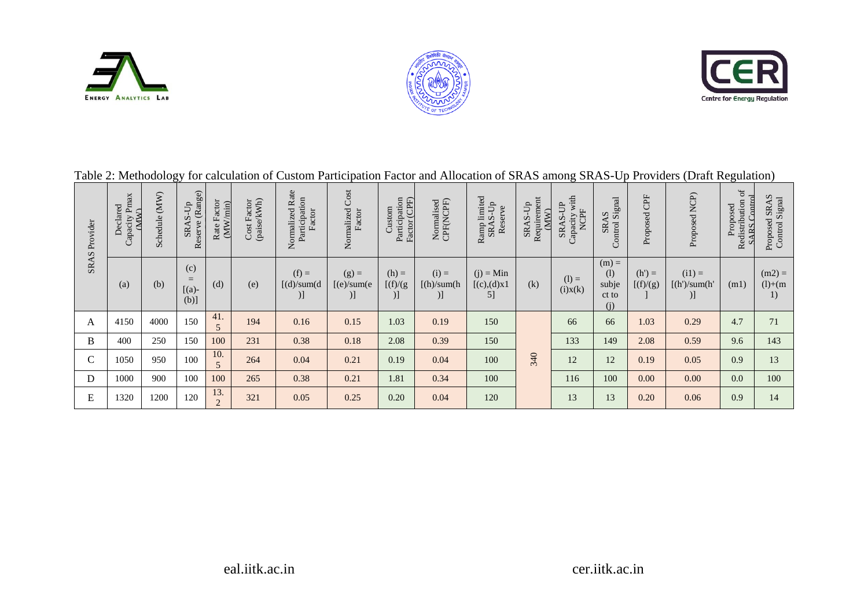





| <b>SRAS</b> Provider | Capacity Pmax<br>Declared<br><b>CMM</b> | $(\mathbf{M}\mathbf{W})$<br>Schedule | Reserve (Range)<br>SRAS-Up     | Rate Factor<br>min)<br>(MW) | Cost Factor<br>(paise/kWh) | Normalized Rate<br>Participation<br>Factor | Normalized Cost<br>Factor              | Participation<br>Factor (CPF)<br>Custom | Normalised<br>CPF(NCPF)       | Ramp limited<br>SRAS-Up<br>Reserve | Requirement<br>SRAS-Up<br>(MW) | Capacity with<br>SRAS-UP<br><b>NCPF</b> | SRAS<br>Control Signal                  | Proposed CPF          | Proposed NCP)                    | $\sigma$<br><b>ARS</b> Control<br>Redistribution<br>Proposed | Proposed SRAS<br>Control Signal |
|----------------------|-----------------------------------------|--------------------------------------|--------------------------------|-----------------------------|----------------------------|--------------------------------------------|----------------------------------------|-----------------------------------------|-------------------------------|------------------------------------|--------------------------------|-----------------------------------------|-----------------------------------------|-----------------------|----------------------------------|--------------------------------------------------------------|---------------------------------|
|                      | (a)                                     | (b)                                  | (c)<br>$=$<br>$[(a)-]$<br>(b)] | (d)                         | (e)                        | $(f) =$<br>(d)/sum(d)<br>)]                | $(g)$ =<br>(e)/sum(e)<br>$\mathcal{L}$ | $(h) =$<br>[f]/(g)<br>)]                | $(i) =$<br>[(h)/sum(h)]<br>)] | $(j)$ = Min<br>[(c),(d)x]<br>5]    | (k)                            | $(l) =$<br>(i)x(k)                      | $(m) =$<br>(1)<br>subje<br>ct to<br>(i) | $(h') =$<br>[(f)/(g)] | $(ii) =$<br>[(h')/sum(h')]<br>)] | (m1)                                                         | $(m2) =$<br>$(l)+(m)$<br>1)     |
| $\mathbf{A}$         | 4150                                    | 4000                                 | 150                            | 41.                         | 194                        | 0.16                                       | 0.15                                   | 1.03                                    | 0.19                          | 150                                |                                | 66                                      | 66                                      | 1.03                  | 0.29                             | 4.7                                                          | 71                              |
| B                    | 400                                     | 250                                  | 150                            | 100                         | 231                        | 0.38                                       | 0.18                                   | 2.08                                    | 0.39                          | 150                                |                                | 133                                     | 149                                     | 2.08                  | 0.59                             | 9.6                                                          | 143                             |
| $\mathcal{C}$        | 1050                                    | 950                                  | 100                            | 10.<br>5                    | 264                        | 0.04                                       | 0.21                                   | 0.19                                    | 0.04                          | 100                                | 340                            | 12                                      | 12                                      | 0.19                  | 0.05                             | 0.9                                                          | 13                              |
| D                    | 1000                                    | 900                                  | 100                            | 100                         | 265                        | 0.38                                       | 0.21                                   | 1.81                                    | 0.34                          | 100                                |                                | 116                                     | 100                                     | 0.00                  | 0.00                             | 0.0                                                          | 100                             |
| E                    | 1320                                    | 1200                                 | 120                            | 13.<br>$\overline{c}$       | 321                        | 0.05                                       | 0.25                                   | 0.20                                    | 0.04                          | 120                                |                                | 13                                      | 13                                      | 0.20                  | 0.06                             | 0.9                                                          | 14                              |

## Table 2: Methodology for calculation of Custom Participation Factor and Allocation of SRAS among SRAS-Up Providers (Draft Regulation)